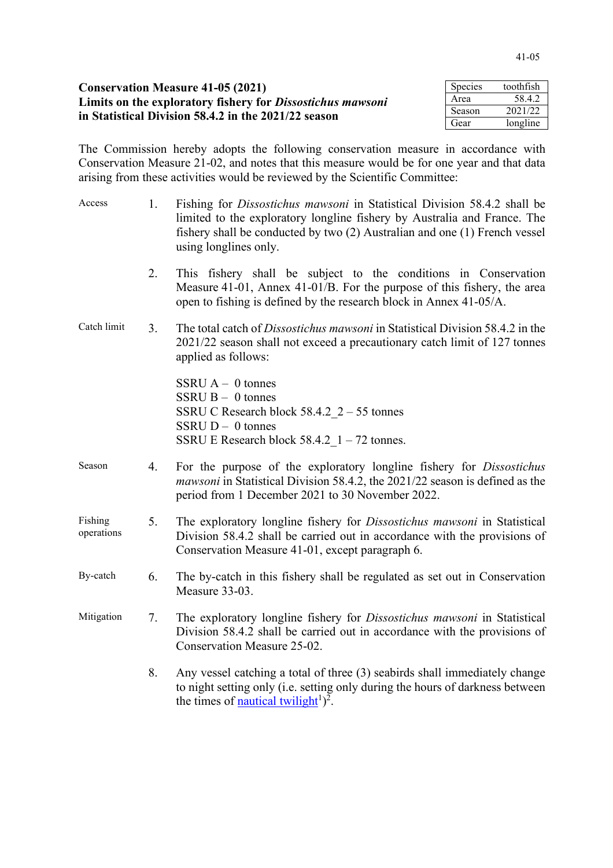| <b>Conservation Measure 41-05 (2021)</b><br>Limits on the exploratory fishery for <i>Dissostichus mawsoni</i><br>in Statistical Division 58.4.2 in the 2021/22 season |      | toothfish |
|-----------------------------------------------------------------------------------------------------------------------------------------------------------------------|------|-----------|
|                                                                                                                                                                       |      | 58.4.2    |
|                                                                                                                                                                       |      | 2021/22   |
|                                                                                                                                                                       | Gear | longline  |

The Commission hereby adopts the following conservation measure in accordance with Conservation Measure 21-02, and notes that this measure would be for one year and that data arising from these activities would be reviewed by the Scientific Committee:

| Access                | 1. | Fishing for <i>Dissostichus mawsoni</i> in Statistical Division 58.4.2 shall be<br>limited to the exploratory longline fishery by Australia and France. The<br>fishery shall be conducted by two (2) Australian and one (1) French vessel<br>using longlines only. |
|-----------------------|----|--------------------------------------------------------------------------------------------------------------------------------------------------------------------------------------------------------------------------------------------------------------------|
|                       | 2. | This fishery shall be subject to the conditions in Conservation<br>Measure 41-01, Annex 41-01/B. For the purpose of this fishery, the area<br>open to fishing is defined by the research block in Annex 41-05/A.                                                   |
| Catch limit           | 3. | The total catch of <i>Dissostichus mawsoni</i> in Statistical Division 58.4.2 in the<br>2021/22 season shall not exceed a precautionary catch limit of 127 tonnes<br>applied as follows:                                                                           |
|                       |    | SSRU $A - 0$ tonnes<br>$SSRU B - 0$ tonnes<br>SSRU C Research block $58.4.2 \, 2 - 55$ tonnes<br>SSRU $D - 0$ tonnes<br>SSRU E Research block $58.4.2 \text{ } 1 - 72 \text{ tonnes.}$                                                                             |
| Season                | 4. | For the purpose of the exploratory longline fishery for Dissostichus<br><i>mawsoni</i> in Statistical Division 58.4.2, the 2021/22 season is defined as the<br>period from 1 December 2021 to 30 November 2022.                                                    |
| Fishing<br>operations | 5. | The exploratory longline fishery for Dissostichus mawsoni in Statistical<br>Division 58.4.2 shall be carried out in accordance with the provisions of<br>Conservation Measure 41-01, except paragraph 6.                                                           |
| By-catch              | 6. | The by-catch in this fishery shall be regulated as set out in Conservation<br>Measure 33-03.                                                                                                                                                                       |
| Mitigation            | 7. | The exploratory longline fishery for Dissostichus mawsoni in Statistical<br>Division 58.4.2 shall be carried out in accordance with the provisions of<br>Conservation Measure 25-02.                                                                               |
|                       | 8. | Any vessel catching a total of three (3) seabirds shall immediately change<br>to night setting only (i.e. setting only during the hours of darkness between<br>the times of nautical twilight <sup>1</sup> $)^2$ .                                                 |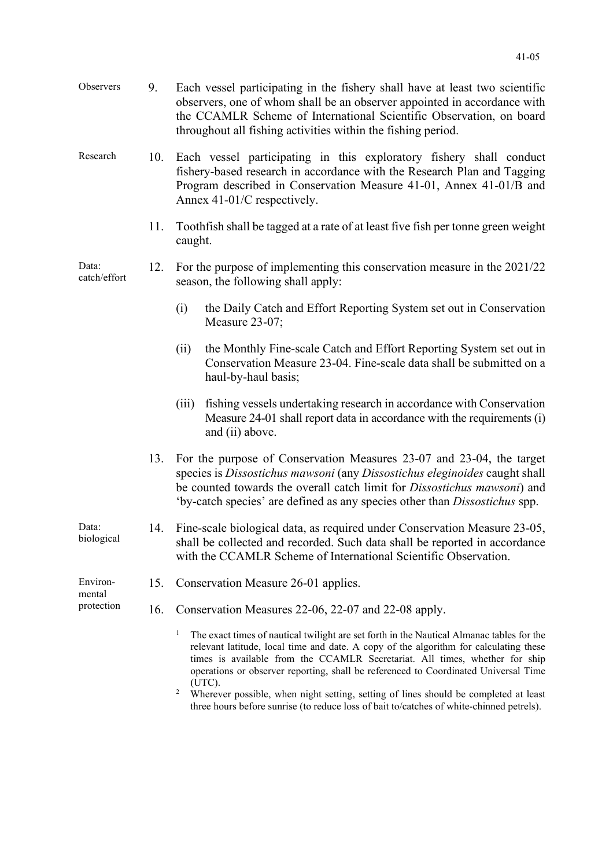| Observers                        | 9.  | Each vessel participating in the fishery shall have at least two scientific<br>observers, one of whom shall be an observer appointed in accordance with<br>the CCAMLR Scheme of International Scientific Observation, on board<br>throughout all fishing activities within the fishing period.                                                                                                                                                                                               |
|----------------------------------|-----|----------------------------------------------------------------------------------------------------------------------------------------------------------------------------------------------------------------------------------------------------------------------------------------------------------------------------------------------------------------------------------------------------------------------------------------------------------------------------------------------|
| Research                         | 10. | Each vessel participating in this exploratory fishery shall conduct<br>fishery-based research in accordance with the Research Plan and Tagging<br>Program described in Conservation Measure 41-01, Annex 41-01/B and<br>Annex 41-01/C respectively.                                                                                                                                                                                                                                          |
|                                  | 11. | Tooth fish shall be tagged at a rate of at least five fish per tonne green weight<br>caught.                                                                                                                                                                                                                                                                                                                                                                                                 |
| Data:<br>catch/effort            | 12. | For the purpose of implementing this conservation measure in the 2021/22<br>season, the following shall apply:                                                                                                                                                                                                                                                                                                                                                                               |
|                                  |     | the Daily Catch and Effort Reporting System set out in Conservation<br>(i)<br>Measure 23-07;                                                                                                                                                                                                                                                                                                                                                                                                 |
|                                  |     | the Monthly Fine-scale Catch and Effort Reporting System set out in<br>(ii)<br>Conservation Measure 23-04. Fine-scale data shall be submitted on a<br>haul-by-haul basis;                                                                                                                                                                                                                                                                                                                    |
|                                  |     | fishing vessels undertaking research in accordance with Conservation<br>(iii)<br>Measure 24-01 shall report data in accordance with the requirements (i)<br>and (ii) above.                                                                                                                                                                                                                                                                                                                  |
|                                  | 13. | For the purpose of Conservation Measures 23-07 and 23-04, the target<br>species is Dissostichus mawsoni (any Dissostichus eleginoides caught shall<br>be counted towards the overall catch limit for <i>Dissostichus mawsoni</i> ) and<br>'by-catch species' are defined as any species other than Dissostichus spp.                                                                                                                                                                         |
| Data:<br>biological              | 14. | Fine-scale biological data, as required under Conservation Measure 23-05,<br>shall be collected and recorded. Such data shall be reported in accordance<br>with the CCAMLR Scheme of International Scientific Observation.                                                                                                                                                                                                                                                                   |
| Environ-<br>mental<br>protection | 15. | Conservation Measure 26-01 applies.                                                                                                                                                                                                                                                                                                                                                                                                                                                          |
|                                  | 16. | Conservation Measures 22-06, 22-07 and 22-08 apply.                                                                                                                                                                                                                                                                                                                                                                                                                                          |
|                                  |     | $\mathbf{I}$<br>The exact times of nautical twilight are set forth in the Nautical Almanac tables for the<br>relevant latitude, local time and date. A copy of the algorithm for calculating these<br>times is available from the CCAMLR Secretariat. All times, whether for ship<br>operations or observer reporting, shall be referenced to Coordinated Universal Time<br>(UTC).<br>$\overline{c}$<br>Wherever possible, when night setting, setting of lines should be completed at least |

three hours before sunrise (to reduce loss of bait to/catches of white-chinned petrels).